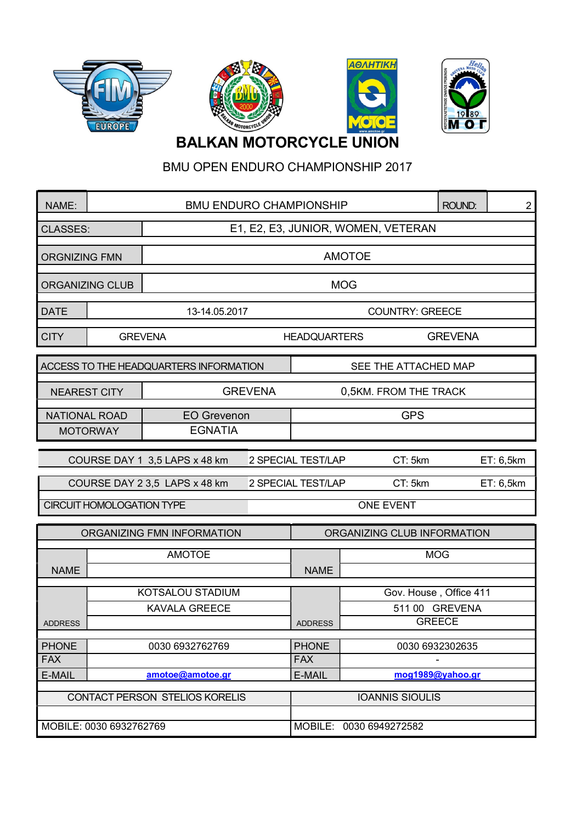







## BALKAN MOTORCYCLE UNION

BMU OPEN ENDURO CHAMPIONSHIP 2017

| NAME:                                  |                  |                                         |  | <b>BMU ENDURO CHAMPIONSHIP</b><br>ROUND:<br>$\overline{c}$ |                        |               |           |  |
|----------------------------------------|------------------|-----------------------------------------|--|------------------------------------------------------------|------------------------|---------------|-----------|--|
| <b>CLASSES:</b>                        |                  | E1, E2, E3, JUNIOR, WOMEN, VETERAN      |  |                                                            |                        |               |           |  |
| <b>ORGNIZING FMN</b>                   |                  | <b>AMOTOE</b>                           |  |                                                            |                        |               |           |  |
| <b>ORGANIZING CLUB</b>                 |                  | <b>MOG</b>                              |  |                                                            |                        |               |           |  |
| <b>DATE</b>                            |                  | <b>COUNTRY: GREECE</b><br>13-14.05.2017 |  |                                                            |                        |               |           |  |
| <b>CITY</b>                            | <b>GREVENA</b>   | <b>HEADQUARTERS</b>                     |  |                                                            | <b>GREVENA</b>         |               |           |  |
| ACCESS TO THE HEADQUARTERS INFORMATION |                  |                                         |  | SEE THE ATTACHED MAP                                       |                        |               |           |  |
| <b>NEAREST CITY</b>                    |                  | <b>GREVENA</b><br>0,5KM. FROM THE TRACK |  |                                                            |                        |               |           |  |
| <b>NATIONAL ROAD</b>                   |                  | <b>EO Grevenon</b>                      |  |                                                            | <b>GPS</b>             |               |           |  |
| <b>EGNATIA</b><br><b>MOTORWAY</b>      |                  |                                         |  |                                                            |                        |               |           |  |
| COURSE DAY 1 3,5 LAPS x 48 km          |                  |                                         |  | 2 SPECIAL TEST/LAP<br>CT: 5km                              |                        |               | ET: 6,5km |  |
|                                        |                  | COURSE DAY 2 3,5 LAPS x 48 km           |  | 2 SPECIAL TEST/LAP<br>CT: 5km                              |                        |               | ET: 6,5km |  |
| <b>CIRCUIT HOMOLOGATION TYPE</b>       |                  |                                         |  | <b>ONE EVENT</b>                                           |                        |               |           |  |
| ORGANIZING FMN INFORMATION             |                  |                                         |  | ORGANIZING CLUB INFORMATION                                |                        |               |           |  |
|                                        |                  | <b>AMOTOE</b>                           |  |                                                            |                        | <b>MOG</b>    |           |  |
| <b>NAME</b>                            |                  |                                         |  | <b>NAME</b>                                                |                        |               |           |  |
|                                        | KOTSALOU STADIUM |                                         |  |                                                            | Gov. House, Office 411 |               |           |  |
| <b>ADDRESS</b>                         |                  | <b>KAVALA GREECE</b>                    |  | <b>ADDRESS</b>                                             | 511 00 GREVENA         | <b>GREECE</b> |           |  |
|                                        |                  |                                         |  |                                                            |                        |               |           |  |
| <b>PHONE</b><br><b>FAX</b>             | 0030 6932762769  |                                         |  | <b>PHONE</b><br><b>FAX</b>                                 | 0030 6932302635        |               |           |  |
| E-MAIL                                 | amotoe@amotoe.gr |                                         |  | E-MAIL                                                     | mog1989@yahoo.gr       |               |           |  |
|                                        |                  |                                         |  |                                                            |                        |               |           |  |
| CONTACT PERSON STELIOS KORELIS         |                  |                                         |  | <b>IOANNIS SIOULIS</b>                                     |                        |               |           |  |
| MOBILE: 0030 6932762769                |                  |                                         |  | MOBILE: 0030 6949272582                                    |                        |               |           |  |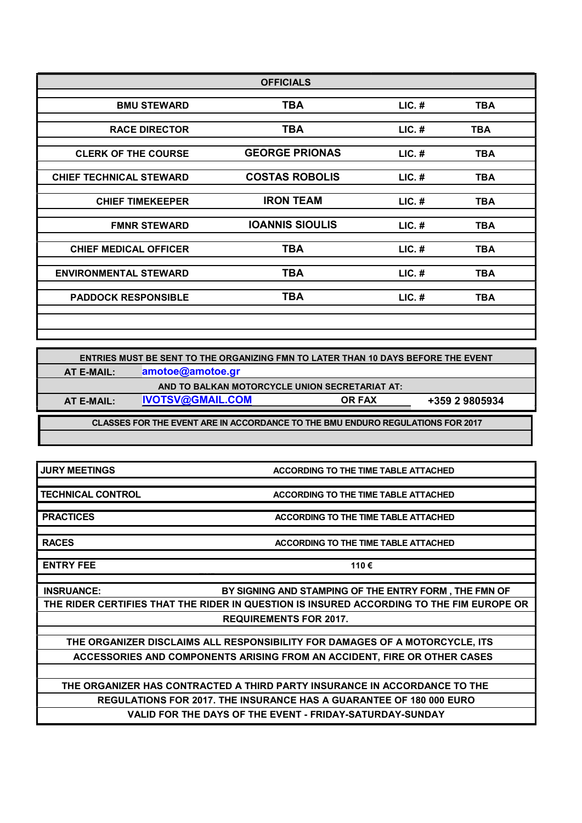|                                | <b>OFFICIALS</b>       |          |            |
|--------------------------------|------------------------|----------|------------|
| <b>BMU STEWARD</b>             | <b>TBA</b>             | $LIC.$ # | <b>TBA</b> |
|                                |                        |          |            |
| <b>RACE DIRECTOR</b>           | TBA                    | $LIC.$ # | <b>TBA</b> |
| <b>CLERK OF THE COURSE</b>     | <b>GEORGE PRIONAS</b>  | $LIC.$ # | <b>TBA</b> |
| <b>CHIEF TECHNICAL STEWARD</b> | <b>COSTAS ROBOLIS</b>  | $LIC.$ # | <b>TBA</b> |
| <b>CHIEF TIMEKEEPER</b>        | <b>IRON TEAM</b>       | $LIC.$ # | <b>TBA</b> |
| <b>FMNR STEWARD</b>            | <b>IOANNIS SIOULIS</b> | $LIC.$ # | <b>TBA</b> |
| <b>CHIEF MEDICAL OFFICER</b>   | TBA                    | $LIC.$ # | <b>TBA</b> |
| <b>ENVIRONMENTAL STEWARD</b>   | TBA                    | $LIC.$ # | <b>TBA</b> |
| <b>PADDOCK RESPONSIBLE</b>     | TBA                    | $LIC.$ # | <b>TBA</b> |
|                                |                        |          |            |

CLASSES FOR THE EVENT ARE IN ACCORDANCE TO THE BMU ENDURO REGULATIONS FOR 2017 ENTRIES MUST BE SENT TO THE ORGANIZING FMN TO LATER THAN 10 DAYS BEFORE THE EVENT AT E-MAIL: amotoe@amotoe.gr AND TO BALKAN MOTORCYCLE UNION SECRETARIAT AT: AT E-MAIL: IVOTSV@GMAIL.COM OR FAX +359 2 9805934

JURY MEETINGS ACCORDING TO THE TIME TABLE ATTACHED

TECHNICAL CONTROL ACCORDING TO THE TIME TABLE ATTACHED

**PRACTICES** ACCORDING TO THE TIME TABLE ATTACHED

RACES **ACCORDING TO THE TIME TABLE ATTACHED** 

ENTRY FEE  $110 \in$ 

INSRUANCE: BY SIGNING AND STAMPING OF THE ENTRY FORM , THE FMN OF THE RIDER CERTIFIES THAT THE RIDER IN QUESTION IS INSURED ACCORDING TO THE FIM EUROPE OR REQUIREMENTS FOR 2017.

EUR

THE ORGANIZER DISCLAIMS ALL RESPONSIBILITY FOR DAMAGES OF A MOTORCYCLE, ITS ACCESSORIES AND COMPONENTS ARISING FROM AN ACCIDENT, FIRE OR OTHER CASES

THE ORGANIZER HAS CONTRACTED A THIRD PARTY INSURANCE IN ACCORDANCE TO THE REGULATIONS FOR 2017. THE INSURANCE HAS A GUARANTEE OF 180 000 EURO VALID FOR THE DAYS OF THE EVENT - FRIDAY-SATURDAY-SUNDAY